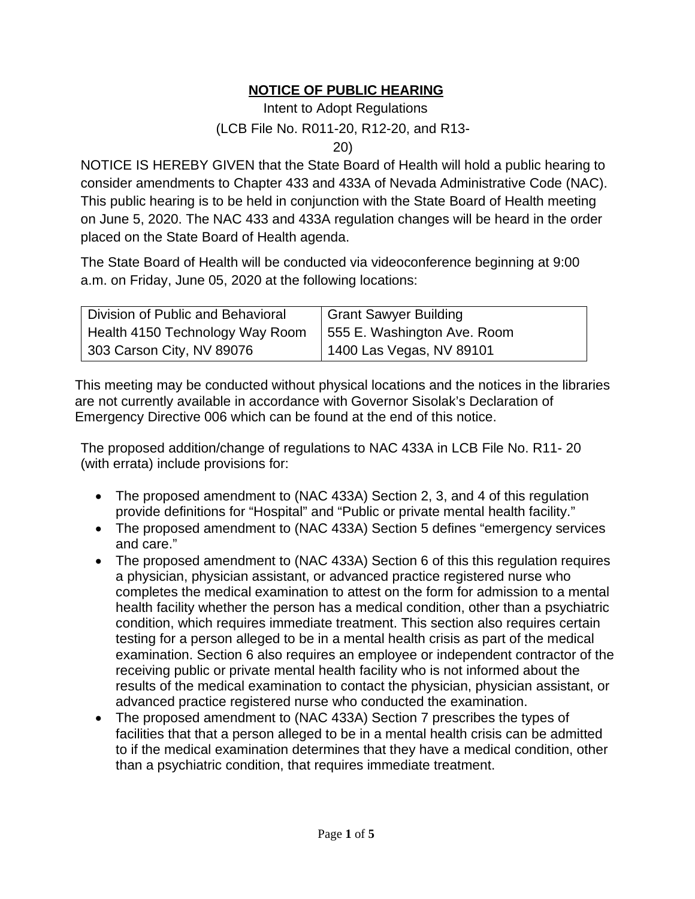## **NOTICE OF PUBLIC HEARING**

## Intent to Adopt Regulations (LCB File No. R011-20, R12-20, and R13- 20)

NOTICE IS HEREBY GIVEN that the State Board of Health will hold a public hearing to consider amendments to Chapter 433 and 433A of Nevada Administrative Code (NAC). This public hearing is to be held in conjunction with the State Board of Health meeting on June 5, 2020. The NAC 433 and 433A regulation changes will be heard in the order placed on the State Board of Health agenda.

The State Board of Health will be conducted via videoconference beginning at 9:00 a.m. on Friday, June 05, 2020 at the following locations:

| Division of Public and Behavioral | Grant Sawyer Building       |
|-----------------------------------|-----------------------------|
| Health 4150 Technology Way Room   | 555 E. Washington Ave. Room |
| 303 Carson City, NV 89076         | 1400 Las Vegas, NV 89101    |

This meeting may be conducted without physical locations and the notices in the libraries are not currently available in accordance with Governor Sisolak's Declaration of Emergency Directive 006 which can be found at the end of this notice.

The proposed addition/change of regulations to NAC 433A in LCB File No. R11- 20 (with errata) include provisions for:

- The proposed amendment to (NAC 433A) Section 2, 3, and 4 of this regulation provide definitions for "Hospital" and "Public or private mental health facility."
- The proposed amendment to (NAC 433A) Section 5 defines "emergency services and care."
- The proposed amendment to (NAC 433A) Section 6 of this this regulation requires a physician, physician assistant, or advanced practice registered nurse who completes the medical examination to attest on the form for admission to a mental health facility whether the person has a medical condition, other than a psychiatric condition, which requires immediate treatment. This section also requires certain testing for a person alleged to be in a mental health crisis as part of the medical examination. Section 6 also requires an employee or independent contractor of the receiving public or private mental health facility who is not informed about the results of the medical examination to contact the physician, physician assistant, or advanced practice registered nurse who conducted the examination.
- The proposed amendment to (NAC 433A) Section 7 prescribes the types of facilities that that a person alleged to be in a mental health crisis can be admitted to if the medical examination determines that they have a medical condition, other than a psychiatric condition, that requires immediate treatment.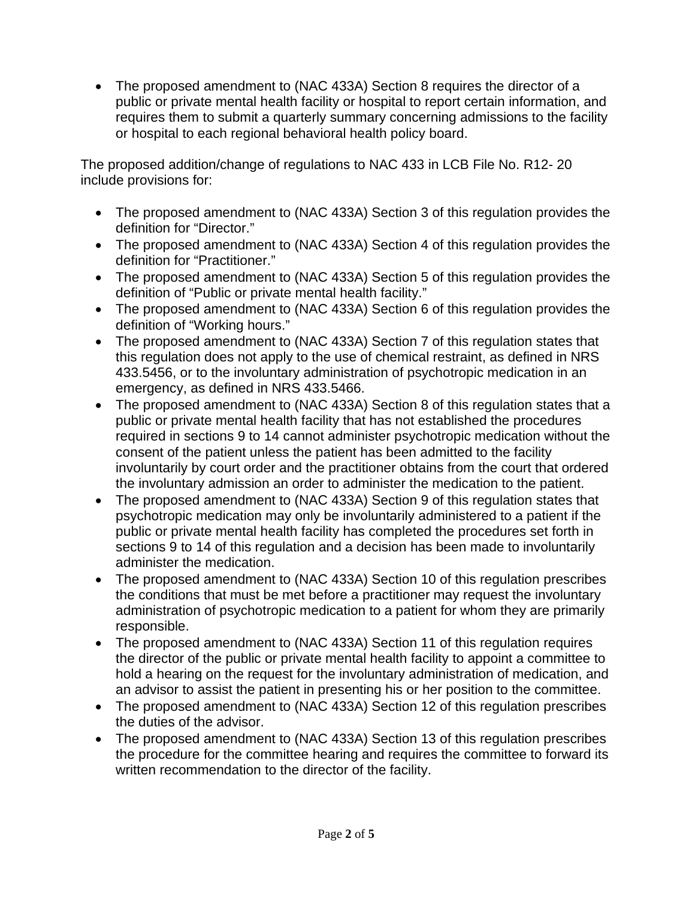• The proposed amendment to (NAC 433A) Section 8 requires the director of a public or private mental health facility or hospital to report certain information, and requires them to submit a quarterly summary concerning admissions to the facility or hospital to each regional behavioral health policy board.

The proposed addition/change of regulations to NAC 433 in LCB File No. R12- 20 include provisions for:

- The proposed amendment to (NAC 433A) Section 3 of this regulation provides the definition for "Director."
- The proposed amendment to (NAC 433A) Section 4 of this regulation provides the definition for "Practitioner."
- The proposed amendment to (NAC 433A) Section 5 of this regulation provides the definition of "Public or private mental health facility."
- The proposed amendment to (NAC 433A) Section 6 of this regulation provides the definition of "Working hours."
- The proposed amendment to (NAC 433A) Section 7 of this regulation states that this regulation does not apply to the use of chemical restraint, as defined in NRS 433.5456, or to the involuntary administration of psychotropic medication in an emergency, as defined in NRS 433.5466.
- The proposed amendment to (NAC 433A) Section 8 of this regulation states that a public or private mental health facility that has not established the procedures required in sections 9 to 14 cannot administer psychotropic medication without the consent of the patient unless the patient has been admitted to the facility involuntarily by court order and the practitioner obtains from the court that ordered the involuntary admission an order to administer the medication to the patient.
- The proposed amendment to (NAC 433A) Section 9 of this regulation states that psychotropic medication may only be involuntarily administered to a patient if the public or private mental health facility has completed the procedures set forth in sections 9 to 14 of this regulation and a decision has been made to involuntarily administer the medication.
- The proposed amendment to (NAC 433A) Section 10 of this regulation prescribes the conditions that must be met before a practitioner may request the involuntary administration of psychotropic medication to a patient for whom they are primarily responsible.
- The proposed amendment to (NAC 433A) Section 11 of this regulation requires the director of the public or private mental health facility to appoint a committee to hold a hearing on the request for the involuntary administration of medication, and an advisor to assist the patient in presenting his or her position to the committee.
- The proposed amendment to (NAC 433A) Section 12 of this regulation prescribes the duties of the advisor.
- The proposed amendment to (NAC 433A) Section 13 of this regulation prescribes the procedure for the committee hearing and requires the committee to forward its written recommendation to the director of the facility.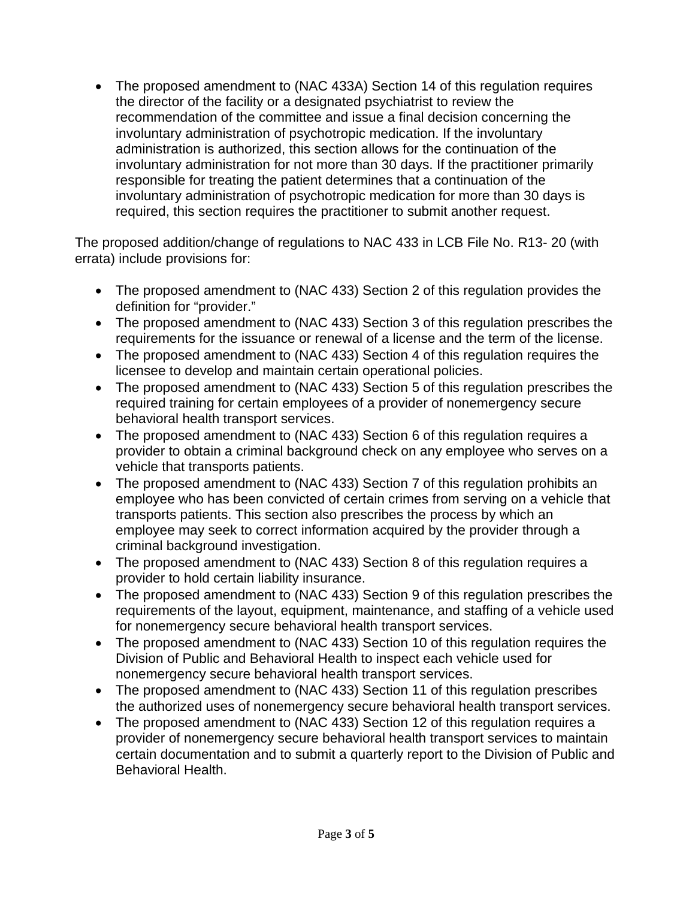• The proposed amendment to (NAC 433A) Section 14 of this regulation requires the director of the facility or a designated psychiatrist to review the recommendation of the committee and issue a final decision concerning the involuntary administration of psychotropic medication. If the involuntary administration is authorized, this section allows for the continuation of the involuntary administration for not more than 30 days. If the practitioner primarily responsible for treating the patient determines that a continuation of the involuntary administration of psychotropic medication for more than 30 days is required, this section requires the practitioner to submit another request.

The proposed addition/change of regulations to NAC 433 in LCB File No. R13- 20 (with errata) include provisions for:

- The proposed amendment to (NAC 433) Section 2 of this regulation provides the definition for "provider."
- The proposed amendment to (NAC 433) Section 3 of this regulation prescribes the requirements for the issuance or renewal of a license and the term of the license.
- The proposed amendment to (NAC 433) Section 4 of this regulation requires the licensee to develop and maintain certain operational policies.
- The proposed amendment to (NAC 433) Section 5 of this regulation prescribes the required training for certain employees of a provider of nonemergency secure behavioral health transport services.
- The proposed amendment to (NAC 433) Section 6 of this regulation requires a provider to obtain a criminal background check on any employee who serves on a vehicle that transports patients.
- The proposed amendment to (NAC 433) Section 7 of this regulation prohibits an employee who has been convicted of certain crimes from serving on a vehicle that transports patients. This section also prescribes the process by which an employee may seek to correct information acquired by the provider through a criminal background investigation.
- The proposed amendment to (NAC 433) Section 8 of this regulation requires a provider to hold certain liability insurance.
- The proposed amendment to (NAC 433) Section 9 of this regulation prescribes the requirements of the layout, equipment, maintenance, and staffing of a vehicle used for nonemergency secure behavioral health transport services.
- The proposed amendment to (NAC 433) Section 10 of this regulation requires the Division of Public and Behavioral Health to inspect each vehicle used for nonemergency secure behavioral health transport services.
- The proposed amendment to (NAC 433) Section 11 of this regulation prescribes the authorized uses of nonemergency secure behavioral health transport services.
- The proposed amendment to (NAC 433) Section 12 of this regulation requires a provider of nonemergency secure behavioral health transport services to maintain certain documentation and to submit a quarterly report to the Division of Public and Behavioral Health.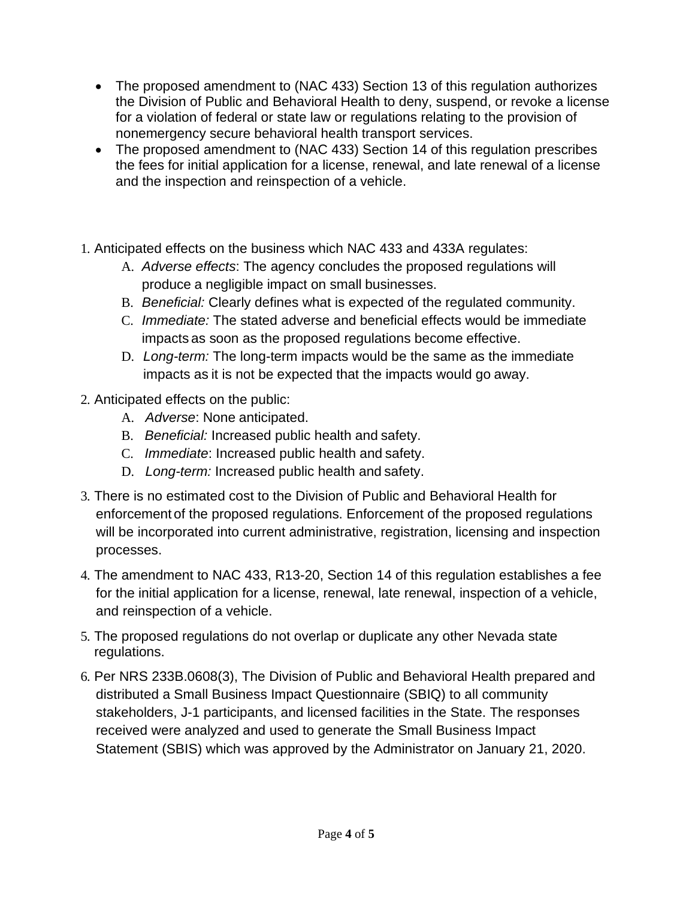- The proposed amendment to (NAC 433) Section 13 of this regulation authorizes the Division of Public and Behavioral Health to deny, suspend, or revoke a license for a violation of federal or state law or regulations relating to the provision of nonemergency secure behavioral health transport services.
- The proposed amendment to (NAC 433) Section 14 of this regulation prescribes the fees for initial application for a license, renewal, and late renewal of a license and the inspection and reinspection of a vehicle.
- 1. Anticipated effects on the business which NAC 433 and 433A regulates:
	- A. *Adverse effects*: The agency concludes the proposed regulations will produce a negligible impact on small businesses.
	- B. *Beneficial:* Clearly defines what is expected of the regulated community.
	- C. *Immediate:* The stated adverse and beneficial effects would be immediate impacts as soon as the proposed regulations become effective.
	- D. *Long-term:* The long-term impacts would be the same as the immediate impacts as it is not be expected that the impacts would go away.
- 2. Anticipated effects on the public:
	- A. *Adverse*: None anticipated.
	- B. *Beneficial:* Increased public health and safety.
	- C. *Immediate*: Increased public health and safety.
	- D. *Long-term:* Increased public health and safety.
- 3. There is no estimated cost to the Division of Public and Behavioral Health for enforcement of the proposed regulations. Enforcement of the proposed regulations will be incorporated into current administrative, registration, licensing and inspection processes.
- 4. The amendment to NAC 433, R13-20, Section 14 of this regulation establishes a fee for the initial application for a license, renewal, late renewal, inspection of a vehicle, and reinspection of a vehicle.
- 5. The proposed regulations do not overlap or duplicate any other Nevada state regulations.
- 6. Per NRS 233B.0608(3), The Division of Public and Behavioral Health prepared and distributed a Small Business Impact Questionnaire (SBIQ) to all community stakeholders, J-1 participants, and licensed facilities in the State. The responses received were analyzed and used to generate the Small Business Impact Statement (SBIS) which was approved by the Administrator on January 21, 2020.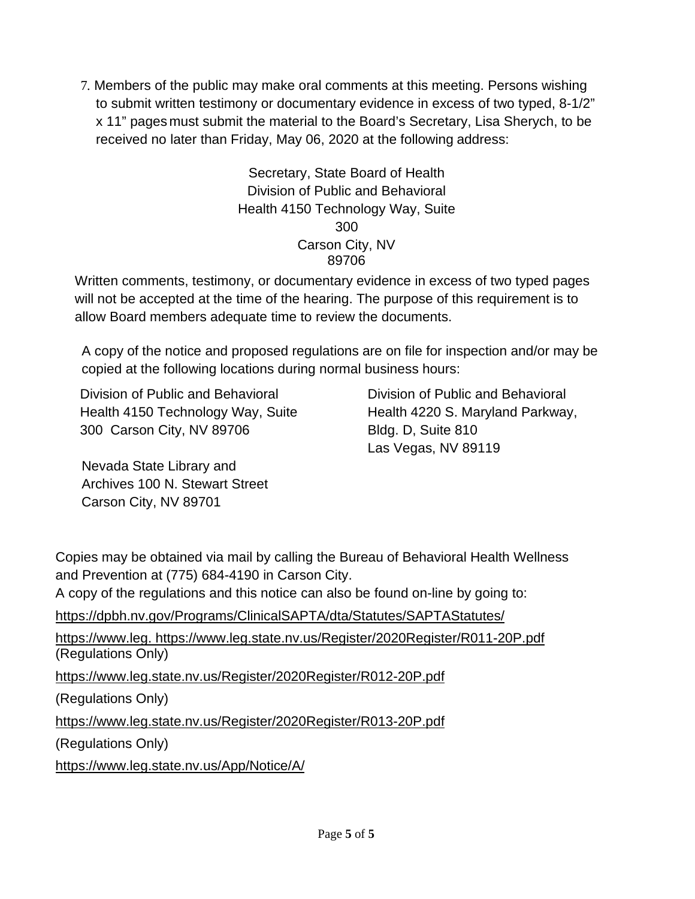7. Members of the public may make oral comments at this meeting. Persons wishing to submit written testimony or documentary evidence in excess of two typed, 8-1/2" x 11" pages must submit the material to the Board's Secretary, Lisa Sherych, to be received no later than Friday, May 06, 2020 at the following address:

> Secretary, State Board of Health Division of Public and Behavioral Health 4150 Technology Way, Suite 300 Carson City, NV 89706

Written comments, testimony, or documentary evidence in excess of two typed pages will not be accepted at the time of the hearing. The purpose of this requirement is to allow Board members adequate time to review the documents.

A copy of the notice and proposed regulations are on file for inspection and/or may be copied at the following locations during normal business hours:

Division of Public and Behavioral Health 4150 Technology Way, Suite 300 Carson City, NV 89706

Division of Public and Behavioral Health 4220 S. Maryland Parkway, Bldg. D, Suite 810 Las Vegas, NV 89119

Nevada State Library and Archives 100 N. Stewart Street Carson City, NV 89701

Copies may be obtained via mail by calling the Bureau of Behavioral Health Wellness and Prevention at (775) 684-4190 in Carson City.

A copy of the regulations and this notice can also be found on-line by going to:

<https://dpbh.nv.gov/Programs/ClinicalSAPTA/dta/Statutes/SAPTAStatutes/>

https://www.leg. <https://www.leg.state.nv.us/Register/2020Register/R011-20P.pdf> (Regulations Only)

<https://www.leg.state.nv.us/Register/2020Register/R012-20P.pdf>

(Regulations Only)

<https://www.leg.state.nv.us/Register/2020Register/R013-20P.pdf>

(Regulations Only)

<https://www.leg.state.nv.us/App/Notice/A/>